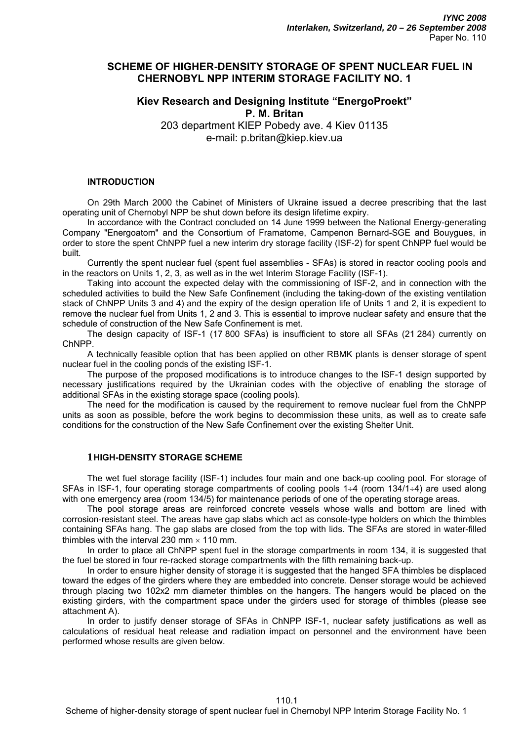# **SCHEME OF HIGHER-DENSITY STORAGE OF SPENT NUCLEAR FUEL IN CHERNOBYL NPP INTERIM STORAGE FACILITY NO. 1**

# **Kiev Research and Designing Institute "EnergoProekt" P. M. Britan**

203 department KIEP Pobedy ave. 4 Kiev 01135 e-mail: p.britan@kiep.kiev.ua

#### **INTRODUCTION**

On 29th March 2000 the Cabinet of Ministers of Ukraine issued a decree prescribing that the last operating unit of Chernobyl NPP be shut down before its design lifetime expiry.

In accordance with the Contract concluded on 14 June 1999 between the National Energy-generating Company "Energoatom" and the Consortium of Framatome, Campenon Bernard-SGE and Bouygues, in order to store the spent ChNPP fuel a new interim dry storage facility (ISF-2) for spent ChNPP fuel would be built.

Currently the spent nuclear fuel (spent fuel assemblies - SFAs) is stored in reactor cooling pools and in the reactors on Units 1, 2, 3, as well as in the wet Interim Storage Facility (ISF-1).

Taking into account the expected delay with the commissioning of ISF-2, and in connection with the scheduled activities to build the New Safe Confinement (including the taking-down of the existing ventilation stack of ChNPP Units 3 and 4) and the expiry of the design operation life of Units 1 and 2, it is expedient to remove the nuclear fuel from Units 1, 2 and 3. This is essential to improve nuclear safety and ensure that the schedule of construction of the New Safe Confinement is met.

The design capacity of ISF-1 (17 800 SFAs) is insufficient to store all SFAs (21 284) currently on ChNPP.

A technically feasible option that has been applied on other RBMK plants is denser storage of spent nuclear fuel in the cooling ponds of the existing ISF-1.

The purpose of the proposed modifications is to introduce changes to the ISF-1 design supported by necessary justifications required by the Ukrainian codes with the objective of enabling the storage of additional SFAs in the existing storage space (cooling pools).

The need for the modification is caused by the requirement to remove nuclear fuel from the ChNPP units as soon as possible, before the work begins to decommission these units, as well as to create safe conditions for the construction of the New Safe Confinement over the existing Shelter Unit.

#### **1HIGH-DENSITY STORAGE SCHEME**

The wet fuel storage facility (ISF-1) includes four main and one back-up cooling pool. For storage of SFAs in ISF-1, four operating storage compartments of cooling pools  $1+4$  (room  $134/1+4$ ) are used along with one emergency area (room 134/5) for maintenance periods of one of the operating storage areas.

The pool storage areas are reinforced concrete vessels whose walls and bottom are lined with corrosion-resistant steel. The areas have gap slabs which act as console-type holders on which the thimbles containing SFAs hang. The gap slabs are closed from the top with lids. The SFAs are stored in water-filled thimbles with the interval 230 mm  $\times$  110 mm.

In order to place all ChNPP spent fuel in the storage compartments in room 134, it is suggested that the fuel be stored in four re-racked storage compartments with the fifth remaining back-up.

In order to ensure higher density of storage it is suggested that the hanged SFA thimbles be displaced toward the edges of the girders where they are embedded into concrete. Denser storage would be achieved through placing two 102x2 mm diameter thimbles on the hangers. The hangers would be placed on the existing girders, with the compartment space under the girders used for storage of thimbles (please see attachment А).

In order to justify denser storage of SFAs in ChNPP ISF-1, nuclear safety justifications as well as calculations of residual heat release and radiation impact on personnel and the environment have been performed whose results are given below.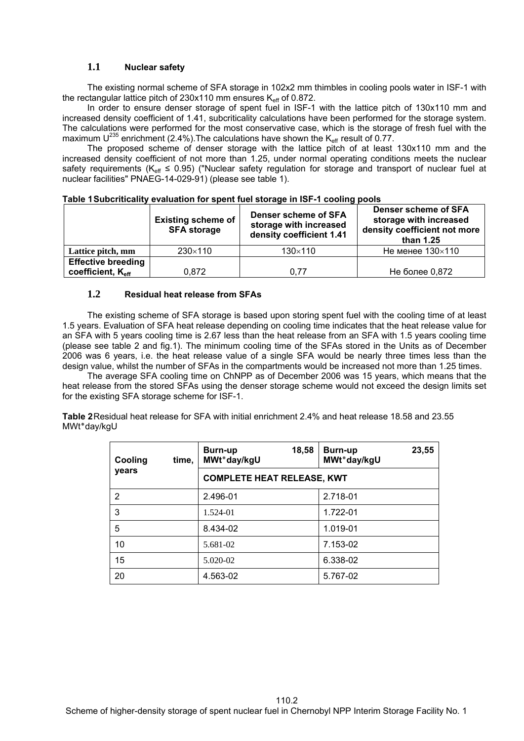### **1.1 Nuclear safety**

The existing normal scheme of SFA storage in 102x2 mm thimbles in cooling pools water in ISF-1 with the rectangular lattice pitch of  $230x110$  mm ensures  $K_{\text{eff}}$  of 0.872.

In order to ensure denser storage of spent fuel in ISF-1 with the lattice pitch of 130x110 mm and increased density coefficient of 1.41, subcriticality calculations have been performed for the storage system. The calculations were performed for the most conservative case, which is the storage of fresh fuel with the maximum  $U^{235}$  enrichment (2.4%). The calculations have shown the K<sub>eff</sub> result of 0.77.

The proposed scheme of denser storage with the lattice pitch of at least 130x110 mm and the increased density coefficient of not more than 1.25, under normal operating conditions meets the nuclear safety requirements ( $K_{\text{eff}} \leq 0.95$ ) ("Nuclear safety regulation for storage and transport of nuclear fuel at nuclear facilities" PNAEG-14-029-91) (please see table 1).

|                               | <b>Existing scheme of</b><br><b>SFA storage</b> | <b>Denser scheme of SFA</b><br>storage with increased<br>density coefficient 1.41 | <b>Denser scheme of SFA</b><br>storage with increased<br>density coefficient not more<br>than 1.25 |
|-------------------------------|-------------------------------------------------|-----------------------------------------------------------------------------------|----------------------------------------------------------------------------------------------------|
| Lattice pitch, mm             | 230×110                                         | $130\times110$                                                                    | Не менее $130\times110$                                                                            |
| <b>Effective breeding</b>     |                                                 |                                                                                   |                                                                                                    |
| coefficient, K <sub>eff</sub> | 0.872                                           | 0.77                                                                              | Не более 0,872                                                                                     |

**Table 1 Subcriticality evaluation for spent fuel storage in ISF-1 cooling pools** 

#### **1.2 Residual heat release from SFAs**

The existing scheme of SFA storage is based upon storing spent fuel with the cooling time of at least 1.5 years. Evaluation of SFA heat release depending on cooling time indicates that the heat release value for an SFA with 5 years cooling time is 2.67 less than the heat release from an SFA with 1.5 years cooling time (please see table 2 and fig.1). The minimum cooling time of the SFAs stored in the Units as of December 2006 was 6 years, i.e. the heat release value of a single SFA would be nearly three times less than the design value, whilst the number of SFAs in the compartments would be increased not more than 1.25 times.

The average SFA cooling time on ChNPP as of December 2006 was 15 years, which means that the heat release from the stored SFAs using the denser storage scheme would not exceed the design limits set for the existing SFA storage scheme for ISF-1.

**Table 2** Residual heat release for SFA with initial enrichment 2.4% and heat release 18.58 and 23.55 MWt<sup>\*</sup>day/kgU

| Cooling<br>time, | 18,58<br>Burn-up<br>MWt*day/kgU   | 23,55<br>Burn-up<br>MWt*day/kgU |  |  |
|------------------|-----------------------------------|---------------------------------|--|--|
| years            | <b>COMPLETE HEAT RELEASE, KWT</b> |                                 |  |  |
| 2                | 2.496-01                          | 2.718-01                        |  |  |
| 3                | 1.524-01                          | 1.722-01                        |  |  |
| 5                | 8.434-02                          | 1.019-01                        |  |  |
| 10               | 5.681-02                          | 7.153-02                        |  |  |
| 15               | 5.020-02                          | 6.338-02                        |  |  |
| 20               | 4.563-02                          | 5.767-02                        |  |  |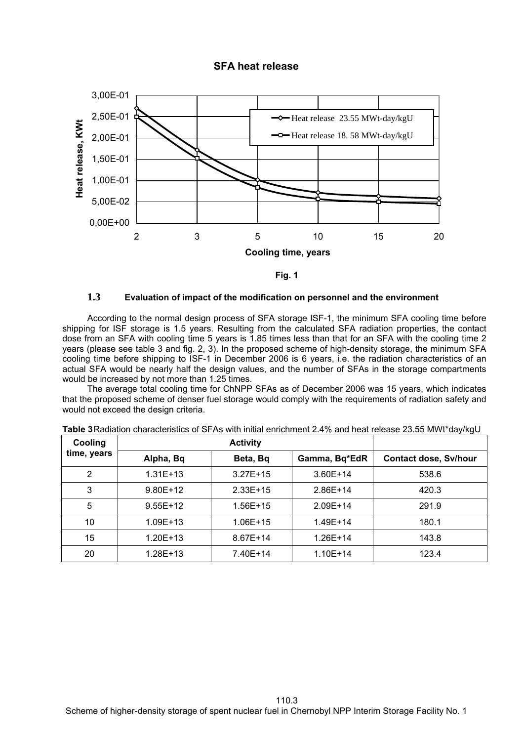## **SFA heat release**





#### **1.3 Evaluation of impact of the modification on personnel and the environment**

According to the normal design process of SFA storage ISF-1, the minimum SFA cooling time before shipping for ISF storage is 1.5 years. Resulting from the calculated SFA radiation properties, the contact dose from an SFA with cooling time 5 years is 1.85 times less than that for an SFA with the cooling time 2 years (please see table 3 and fig. 2, 3). In the proposed scheme of high-density storage, the minimum SFA cooling time before shipping to ISF-1 in December 2006 is 6 years, i.e. the radiation characteristics of an actual SFA would be nearly half the design values, and the number of SFAs in the storage compartments would be increased by not more than 1.25 times.

The average total cooling time for ChNPP SFAs as of December 2006 was 15 years, which indicates that the proposed scheme of denser fuel storage would comply with the requirements of radiation safety and would not exceed the design criteria.

| Cooling<br>time, years | <b>Activity</b> |              |               |                              |
|------------------------|-----------------|--------------|---------------|------------------------------|
|                        | Alpha, Bq       | Beta, Bq     | Gamma, Bq*EdR | <b>Contact dose, Sv/hour</b> |
| 2                      | $1.31E+13$      | $3.27E + 15$ | $3.60E+14$    | 538.6                        |
| 3                      | $9.80E+12$      | $2.33E+15$   | $2.86E+14$    | 420.3                        |
| 5                      | $9.55E+12$      | $1.56E+15$   | $2.09E + 14$  | 291.9                        |
| 10                     | $1.09E + 13$    | $1.06E + 15$ | $1.49E + 14$  | 180.1                        |
| 15                     | $1.20E + 13$    | 8.67E+14     | $1.26E+14$    | 143.8                        |
| 20                     | $1.28E + 13$    | 7.40E+14     | $1.10E + 14$  | 123.4                        |

**Table 3** Radiation characteristics of SFAs with initial enrichment 2.4% and heat release 23.55 MWt\*day/kgU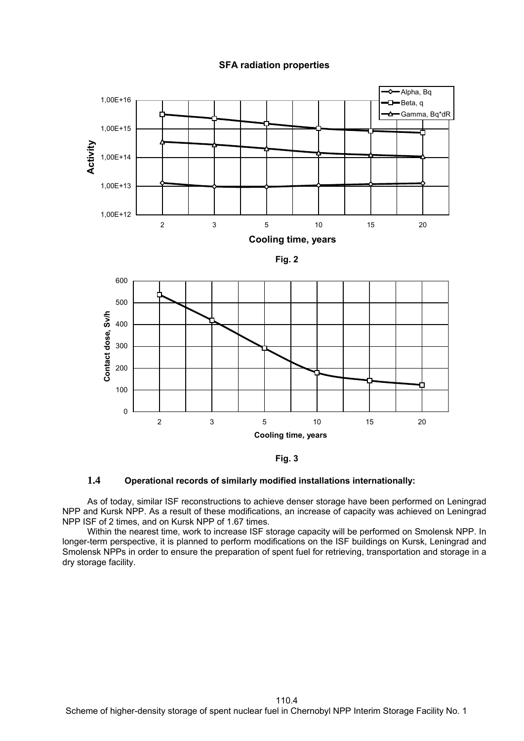### **SFA radiation properties**





### **1.4 Operational records of similarly modified installations internationally:**

As of today, similar ISF reconstructions to achieve denser storage have been performed on Leningrad NPP and Kursk NPP. As a result of these modifications, an increase of capacity was achieved on Leningrad NPP ISF of 2 times, and on Kursk NPP of 1.67 times.

Within the nearest time, work to increase ISF storage capacity will be performed on Smolensk NPP. In longer-term perspective, it is planned to perform modifications on the ISF buildings on Kursk, Leningrad and Smolensk NPPs in order to ensure the preparation of spent fuel for retrieving, transportation and storage in a dry storage facility.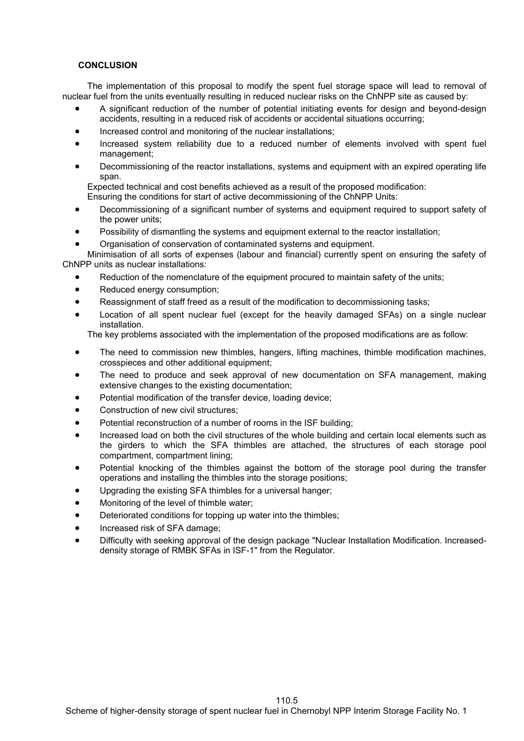#### **CONCLUSION**

The implementation of this proposal to modify the spent fuel storage space will lead to removal of nuclear fuel from the units eventually resulting in reduced nuclear risks on the ChNPP site as caused by:

- A significant reduction of the number of potential initiating events for design and beyond-design accidents, resulting in a reduced risk of accidents or accidental situations occurring;
- Increased control and monitoring of the nuclear installations;
- Increased system reliability due to a reduced number of elements involved with spent fuel management;
- Decommissioning of the reactor installations, systems and equipment with an expired operating life span.

Expected technical and cost benefits achieved as a result of the proposed modification:

- Ensuring the conditions for start of active decommissioning of the ChNPP Units:
- Decommissioning of a significant number of systems and equipment required to support safety of the power units;
- Possibility of dismantling the systems and equipment external to the reactor installation;
- Organisation of conservation of contaminated systems and equipment.

Minimisation of all sorts of expenses (labour and financial) currently spent on ensuring the safety of ChNPP units as nuclear installations:

- Reduction of the nomenclature of the equipment procured to maintain safety of the units;
- Reduced energy consumption;
- Reassignment of staff freed as a result of the modification to decommissioning tasks;
- Location of all spent nuclear fuel (except for the heavily damaged SFAs) on a single nuclear installation.

The key problems associated with the implementation of the proposed modifications are as follow:

- The need to commission new thimbles, hangers, lifting machines, thimble modification machines, crosspieces and other additional equipment;
- The need to produce and seek approval of new documentation on SFA management, making extensive changes to the existing documentation;
- Potential modification of the transfer device, loading device;
- Construction of new civil structures:
- Potential reconstruction of a number of rooms in the ISF building;
- Increased load on both the civil structures of the whole building and certain local elements such as the girders to which the SFA thimbles are attached, the structures of each storage pool compartment, compartment lining;
- Potential knocking of the thimbles against the bottom of the storage pool during the transfer operations and installing the thimbles into the storage positions;
- Upgrading the existing SFA thimbles for a universal hanger;
- Monitoring of the level of thimble water;
- Deteriorated conditions for topping up water into the thimbles;
- Increased risk of SFA damage;
- Difficulty with seeking approval of the design package "Nuclear Installation Modification. Increaseddensity storage of RMBK SFAs in ISF-1" from the Regulator.